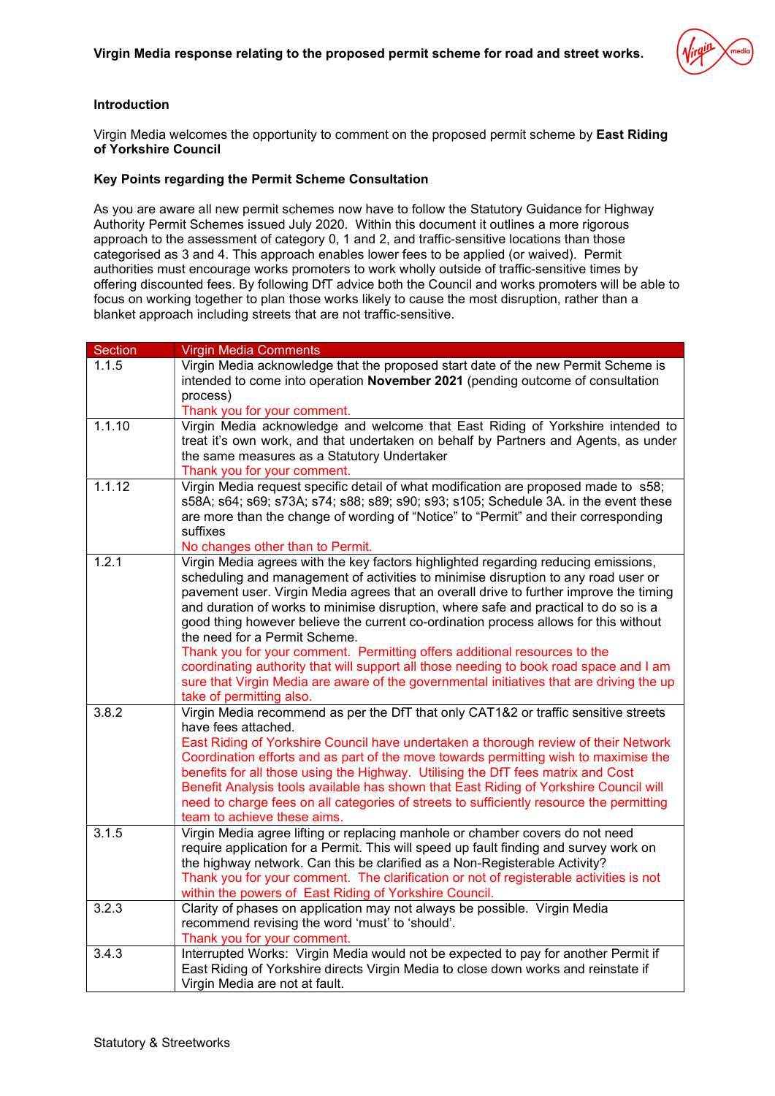## Introduction

Virgin Media welcomes the opportunity to comment on the proposed permit scheme by East Riding of Yorkshire Council

## Key Points regarding the Permit Scheme Consultation

As you are aware all new permit schemes now have to follow the Statutory Guidance for Highway Authority Permit Schemes issued July 2020. Within this document it outlines a more rigorous approach to the assessment of category 0, 1 and 2, and traffic-sensitive locations than those categorised as 3 and 4. This approach enables lower fees to be applied (or waived). Permit authorities must encourage works promoters to work wholly outside of traffic-sensitive times by offering discounted fees. By following DfT advice both the Council and works promoters will be able to focus on working together to plan those works likely to cause the most disruption, rather than a blanket approach including streets that are not traffic-sensitive.

| <b>Section</b> | <b>Virgin Media Comments</b>                                                                                                                                                                                                                                                                                                                                                                                                                                                                                                                                                                                                                                                                                                                                                       |
|----------------|------------------------------------------------------------------------------------------------------------------------------------------------------------------------------------------------------------------------------------------------------------------------------------------------------------------------------------------------------------------------------------------------------------------------------------------------------------------------------------------------------------------------------------------------------------------------------------------------------------------------------------------------------------------------------------------------------------------------------------------------------------------------------------|
| 1.1.5          | Virgin Media acknowledge that the proposed start date of the new Permit Scheme is<br>intended to come into operation November 2021 (pending outcome of consultation<br>process)<br>Thank you for your comment.                                                                                                                                                                                                                                                                                                                                                                                                                                                                                                                                                                     |
| 1.1.10         | Virgin Media acknowledge and welcome that East Riding of Yorkshire intended to<br>treat it's own work, and that undertaken on behalf by Partners and Agents, as under<br>the same measures as a Statutory Undertaker<br>Thank you for your comment.                                                                                                                                                                                                                                                                                                                                                                                                                                                                                                                                |
| 1.1.12         | Virgin Media request specific detail of what modification are proposed made to s58;<br>s58A; s64; s69; s73A; s74; s88; s89; s90; s93; s105; Schedule 3A. in the event these<br>are more than the change of wording of "Notice" to "Permit" and their corresponding<br>suffixes<br>No changes other than to Permit.                                                                                                                                                                                                                                                                                                                                                                                                                                                                 |
| 1.2.1          | Virgin Media agrees with the key factors highlighted regarding reducing emissions,<br>scheduling and management of activities to minimise disruption to any road user or<br>pavement user. Virgin Media agrees that an overall drive to further improve the timing<br>and duration of works to minimise disruption, where safe and practical to do so is a<br>good thing however believe the current co-ordination process allows for this without<br>the need for a Permit Scheme.<br>Thank you for your comment. Permitting offers additional resources to the<br>coordinating authority that will support all those needing to book road space and I am<br>sure that Virgin Media are aware of the governmental initiatives that are driving the up<br>take of permitting also. |
| 3.8.2          | Virgin Media recommend as per the DfT that only CAT1&2 or traffic sensitive streets<br>have fees attached.<br>East Riding of Yorkshire Council have undertaken a thorough review of their Network<br>Coordination efforts and as part of the move towards permitting wish to maximise the<br>benefits for all those using the Highway. Utilising the DfT fees matrix and Cost<br>Benefit Analysis tools available has shown that East Riding of Yorkshire Council will<br>need to charge fees on all categories of streets to sufficiently resource the permitting<br>team to achieve these aims.                                                                                                                                                                                  |
| 3.1.5          | Virgin Media agree lifting or replacing manhole or chamber covers do not need<br>require application for a Permit. This will speed up fault finding and survey work on<br>the highway network. Can this be clarified as a Non-Registerable Activity?<br>Thank you for your comment. The clarification or not of registerable activities is not<br>within the powers of East Riding of Yorkshire Council.                                                                                                                                                                                                                                                                                                                                                                           |
| 3.2.3          | Clarity of phases on application may not always be possible. Virgin Media<br>recommend revising the word 'must' to 'should'.<br>Thank you for your comment.                                                                                                                                                                                                                                                                                                                                                                                                                                                                                                                                                                                                                        |
| 3.4.3          | Interrupted Works: Virgin Media would not be expected to pay for another Permit if<br>East Riding of Yorkshire directs Virgin Media to close down works and reinstate if<br>Virgin Media are not at fault.                                                                                                                                                                                                                                                                                                                                                                                                                                                                                                                                                                         |